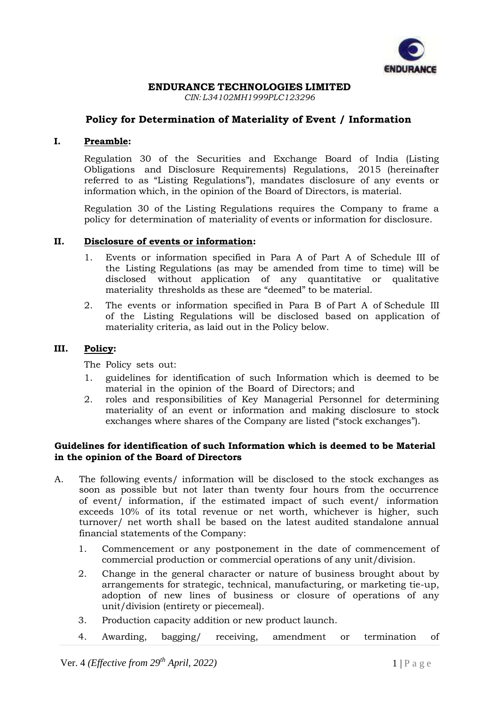

## **ENDURANCE TECHNOLOGIES LIMITED**

*CIN: L34102MH1999PLC123296*

# **Policy for Determination of Materiality of Event / Information**

#### **I. Preamble:**

Regulation 30 of the Securities and Exchange Board of India (Listing Obligations and Disclosure Requirements) Regulations, 2015 (hereinafter referred to as "Listing Regulations"), mandates disclosure of any events or information which, in the opinion of the Board of Directors, is material.

Regulation 30 of the Listing Regulations requires the Company to frame a policy for determination of materiality of events or information for disclosure.

## **II. Disclosure of events or information:**

- 1. Events or information specified in Para A of Part A of Schedule III of the Listing Regulations (as may be amended from time to time) will be disclosed without application of any quantitative or qualitative materiality thresholds as these are "deemed" to be material.
- 2. The events or information specified in Para B of Part A of Schedule III of the Listing Regulations will be disclosed based on application of materiality criteria, as laid out in the Policy below.

#### **III. Policy:**

The Policy sets out:

- 1. guidelines for identification of such Information which is deemed to be material in the opinion of the Board of Directors; and
- 2. roles and responsibilities of Key Managerial Personnel for determining materiality of an event or information and making disclosure to stock exchanges where shares of the Company are listed ("stock exchanges").

## **Guidelines for identification of such Information which is deemed to be Material in the opinion of the Board of Directors**

- A. The following events/ information will be disclosed to the stock exchanges as soon as possible but not later than twenty four hours from the occurrence of event/ information, if the estimated impact of such event/ information exceeds 10% of its total revenue or net worth, whichever is higher, such turnover/ net worth shall be based on the latest audited standalone annual financial statements of the Company:
	- 1. Commencement or any postponement in the date of commencement of commercial production or commercial operations of any unit/division.
	- 2. Change in the general character or nature of business brought about by arrangements for strategic, technical, manufacturing, or marketing tie-up, adoption of new lines of business or closure of operations of any unit/division (entirety or piecemeal).
	- 3. Production capacity addition or new product launch.
	- 4. Awarding, bagging/ receiving, amendment or termination of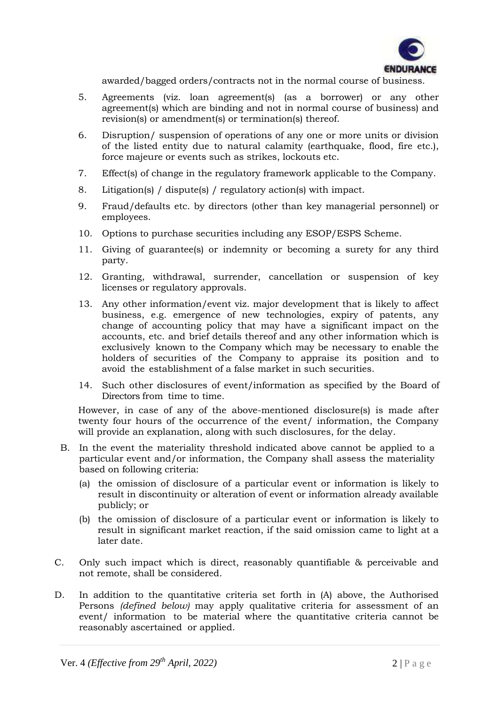

awarded/bagged orders/contracts not in the normal course of business.

- 5. Agreements (viz. loan agreement(s) (as a borrower) or any other agreement(s) which are binding and not in normal course of business) and revision(s) or amendment(s) or termination(s) thereof.
- 6. Disruption/ suspension of operations of any one or more units or division of the listed entity due to natural calamity (earthquake, flood, fire etc.), force majeure or events such as strikes, lockouts etc.
- 7. Effect(s) of change in the regulatory framework applicable to the Company.
- 8. Litigation(s) / dispute(s) / regulatory action(s) with impact.
- 9. Fraud/defaults etc. by directors (other than key managerial personnel) or employees.
- 10. Options to purchase securities including any ESOP/ESPS Scheme.
- 11. Giving of guarantee(s) or indemnity or becoming a surety for any third party.
- 12. Granting, withdrawal, surrender, cancellation or suspension of key licenses or regulatory approvals.
- 13. Any other information/event viz. major development that is likely to affect business, e.g. emergence of new technologies, expiry of patents, any change of accounting policy that may have a significant impact on the accounts, etc. and brief details thereof and any other information which is exclusively known to the Company which may be necessary to enable the holders of securities of the Company to appraise its position and to avoid the establishment of a false market in such securities.
- 14. Such other disclosures of event/information as specified by the Board of Directors from time to time.

However, in case of any of the above-mentioned disclosure(s) is made after twenty four hours of the occurrence of the event/ information, the Company will provide an explanation, along with such disclosures, for the delay.

- B. In the event the materiality threshold indicated above cannot be applied to a particular event and/or information, the Company shall assess the materiality based on following criteria:
	- (a) the omission of disclosure of a particular event or information is likely to result in discontinuity or alteration of event or information already available publicly; or
	- (b) the omission of disclosure of a particular event or information is likely to result in significant market reaction, if the said omission came to light at a later date.
- C. Only such impact which is direct, reasonably quantifiable & perceivable and not remote, shall be considered.
- D. In addition to the quantitative criteria set forth in (A) above, the Authorised Persons *(defined below)* may apply qualitative criteria for assessment of an event/ information to be material where the quantitative criteria cannot be reasonably ascertained or applied.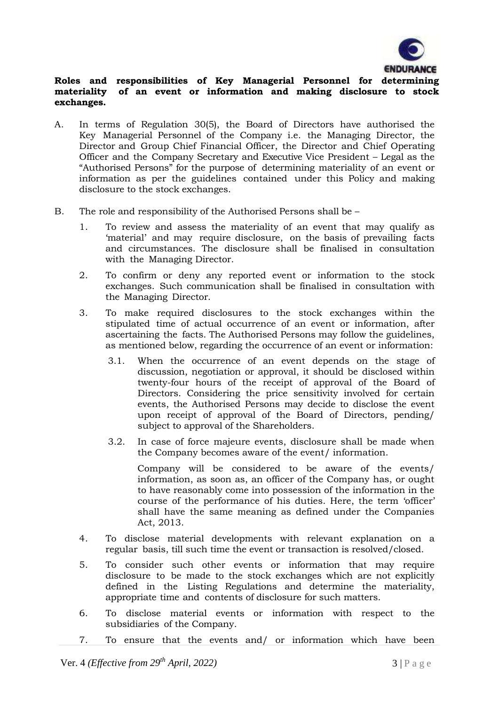

# **Roles and responsibilities of Key Managerial Personnel for determining materiality of an event or information and making disclosure to stock exchanges.**

- A. In terms of Regulation 30(5), the Board of Directors have authorised the Key Managerial Personnel of the Company i.e. the Managing Director, the Director and Group Chief Financial Officer, the Director and Chief Operating Officer and the Company Secretary and Executive Vice President – Legal as the "Authorised Persons" for the purpose of determining materiality of an event or information as per the guidelines contained under this Policy and making disclosure to the stock exchanges.
- B. The role and responsibility of the Authorised Persons shall be
	- 1. To review and assess the materiality of an event that may qualify as 'material' and may require disclosure, on the basis of prevailing facts and circumstances. The disclosure shall be finalised in consultation with the Managing Director.
	- 2. To confirm or deny any reported event or information to the stock exchanges. Such communication shall be finalised in consultation with the Managing Director.
	- 3. To make required disclosures to the stock exchanges within the stipulated time of actual occurrence of an event or information, after ascertaining the facts. The Authorised Persons may follow the guidelines, as mentioned below, regarding the occurrence of an event or information:
		- 3.1. When the occurrence of an event depends on the stage of discussion, negotiation or approval, it should be disclosed within twenty-four hours of the receipt of approval of the Board of Directors. Considering the price sensitivity involved for certain events, the Authorised Persons may decide to disclose the event upon receipt of approval of the Board of Directors, pending/ subject to approval of the Shareholders.
		- 3.2. In case of force majeure events, disclosure shall be made when the Company becomes aware of the event/ information.

Company will be considered to be aware of the events/ information, as soon as, an officer of the Company has, or ought to have reasonably come into possession of the information in the course of the performance of his duties. Here, the term 'officer' shall have the same meaning as defined under the Companies Act, 2013.

- 4. To disclose material developments with relevant explanation on a regular basis, till such time the event or transaction is resolved/closed.
- 5. To consider such other events or information that may require disclosure to be made to the stock exchanges which are not explicitly defined in the Listing Regulations and determine the materiality, appropriate time and contents of disclosure for such matters.
- 6. To disclose material events or information with respect to the subsidiaries of the Company.
- 7. To ensure that the events and/ or information which have been